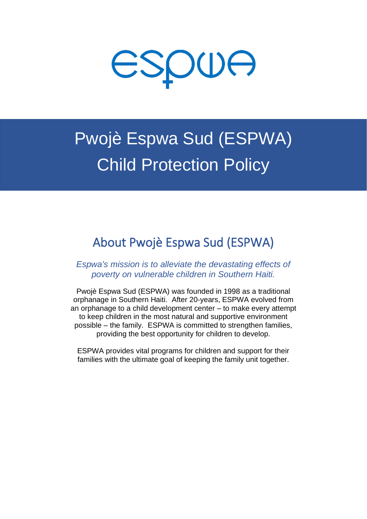

# Pwojè Espwa Sud (ESPWA) Child Protection Policy

# About Pwojè Espwa Sud (ESPWA)

*Espwa's mission is to alleviate the devastating effects of poverty on vulnerable children in Southern Haiti.*

Pwojè Espwa Sud (ESPWA) was founded in 1998 as a traditional orphanage in Southern Haiti. After 20-years, ESPWA evolved from an orphanage to a child development center – to make every attempt to keep children in the most natural and supportive environment possible – the family. ESPWA is committed to strengthen families, providing the best opportunity for children to develop.

ESPWA provides vital programs for children and support for their families with the ultimate goal of keeping the family unit together.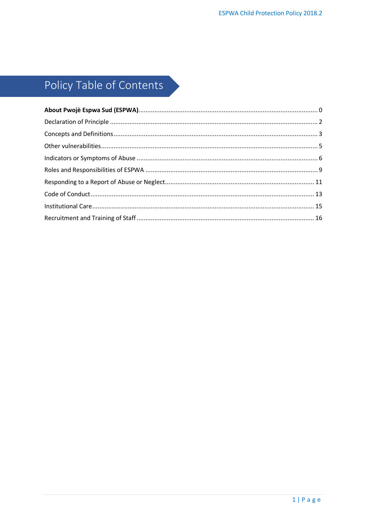# Policy Table of Contents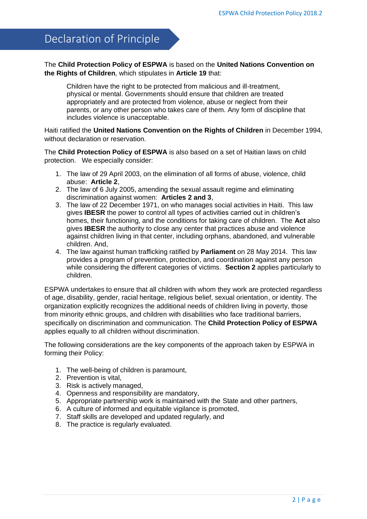## <span id="page-2-0"></span>Declaration of Principle

### The **Child Protection Policy of ESPWA** is based on the **United Nations Convention on the Rights of Children**, which stipulates in **Article 19** that:

Children have the right to be protected from malicious and ill-treatment, physical or mental. Governments should ensure that children are treated appropriately and are protected from violence, abuse or neglect from their parents, or any other person who takes care of them. Any form of discipline that includes violence is unacceptable.

Haiti ratified the **United Nations Convention on the Rights of Children** in December 1994, without declaration or reservation.

The **Child Protection Policy of ESPWA** is also based on a set of Haitian laws on child protection. We especially consider:

- 1. The law of 29 April 2003, on the elimination of all forms of abuse, violence, child abuse: **Article 2**,
- 2. The law of 6 July 2005, amending the sexual assault regime and eliminating discrimination against women: **Articles 2 and 3**,
- 3. The law of 22 December 1971, on who manages social activities in Haiti. This law gives **IBESR** the power to control all types of activities carried out in children's homes, their functioning, and the conditions for taking care of children. The **Act** also gives **IBESR** the authority to close any center that practices abuse and violence against children living in that center, including orphans, abandoned, and vulnerable children. And,
- 4. The law against human trafficking ratified by **Parliament** on 28 May 2014. This law provides a program of prevention, protection, and coordination against any person while considering the different categories of victims. **Section 2** applies particularly to children.

ESPWA undertakes to ensure that all children with whom they work are protected regardless of age, disability, gender, racial heritage, religious belief, sexual orientation, or identity. The organization explicitly recognizes the additional needs of children living in poverty, those from minority ethnic groups, and children with disabilities who face traditional barriers, specifically on discrimination and communication. The **Child Protection Policy of ESPWA** applies equally to all children without discrimination.

The following considerations are the key components of the approach taken by ESPWA in forming their Policy:

- 1. The well-being of children is paramount,
- 2. Prevention is vital,
- 3. Risk is actively managed,
- 4. Openness and responsibility are mandatory,
- 5. Appropriate partnership work is maintained with the State and other partners,
- 6. A culture of informed and equitable vigilance is promoted,
- 7. Staff skills are developed and updated regularly, and
- 8. The practice is regularly evaluated.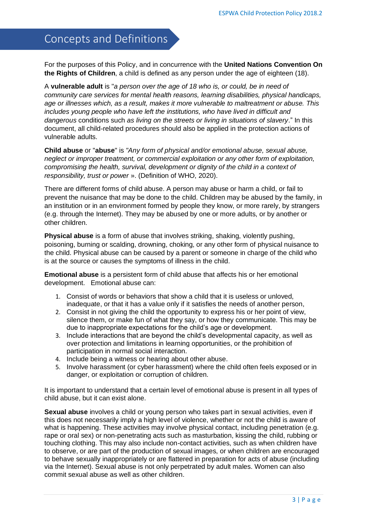# <span id="page-3-0"></span>Concepts and Definitions

For the purposes of this Policy, and in concurrence with the **United Nations Convention On the Rights of Children**, a child is defined as any person under the age of eighteen (18).

A **vulnerable adult** is "*a person over the age of 18 who is, or could, be in need of community care services for mental health reasons, learning disabilities, physical handicaps, age or illnesses which, as a result, makes it more vulnerable to maltreatment or abuse. This includes young people who have left the institutions, who have lived in difficult and dangerous* conditions such *as living on the streets or living in situations of slavery*." In this document, all child-related procedures should also be applied in the protection actions of vulnerable adults.

**Child abuse** or "**abuse**" is *"Any form of physical and/or emotional abuse, sexual abuse, neglect or improper treatment, or commercial exploitation or any other form of exploitation, compromising the health, survival, development or dignity of the child in a context of responsibility, trust or power* ». (Definition of WHO, 2020).

There are different forms of child abuse. A person may abuse or harm a child, or fail to prevent the nuisance that may be done to the child. Children may be abused by the family, in an institution or in an environment formed by people they know, or more rarely, by strangers (e.g. through the Internet). They may be abused by one or more adults, or by another or other children.

**Physical abuse** is a form of abuse that involves striking, shaking, violently pushing, poisoning, burning or scalding, drowning, choking, or any other form of physical nuisance to the child. Physical abuse can be caused by a parent or someone in charge of the child who is at the source or causes the symptoms of illness in the child.

**Emotional abuse** is a persistent form of child abuse that affects his or her emotional development. Emotional abuse can:

- 1. Consist of words or behaviors that show a child that it is useless or unloved, inadequate, or that it has a value only if it satisfies the needs of another person,
- 2. Consist in not giving the child the opportunity to express his or her point of view, silence them, or make fun of what they say, or how they communicate. This may be due to inappropriate expectations for the child's age or development.
- 3. Include interactions that are beyond the child's developmental capacity, as well as over protection and limitations in learning opportunities, or the prohibition of participation in normal social interaction.
- 4. Include being a witness or hearing about other abuse.
- 5. Involve harassment (or cyber harassment) where the child often feels exposed or in danger, or exploitation or corruption of children.

It is important to understand that a certain level of emotional abuse is present in all types of child abuse, but it can exist alone.

**Sexual abuse** involves a child or young person who takes part in sexual activities, even if this does not necessarily imply a high level of violence, whether or not the child is aware of what is happening. These activities may involve physical contact, including penetration (e.g. rape or oral sex) or non-penetrating acts such as masturbation, kissing the child, rubbing or touching clothing. This may also include non-contact activities, such as when children have to observe, or are part of the production of sexual images, or when children are encouraged to behave sexually inappropriately or are flattered in preparation for acts of abuse (including via the Internet). Sexual abuse is not only perpetrated by adult males. Women can also commit sexual abuse as well as other children.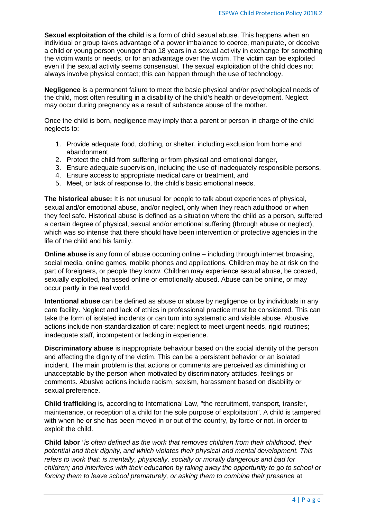**Sexual exploitation of the child** is a form of child sexual abuse. This happens when an individual or group takes advantage of a power imbalance to coerce, manipulate, or deceive a child or young person younger than 18 years in a sexual activity in exchange for something the victim wants or needs, or for an advantage over the victim. The victim can be exploited even if the sexual activity seems consensual. The sexual exploitation of the child does not always involve physical contact; this can happen through the use of technology.

**Negligence** is a permanent failure to meet the basic physical and/or psychological needs of the child, most often resulting in a disability of the child's health or development. Neglect may occur during pregnancy as a result of substance abuse of the mother.

Once the child is born, negligence may imply that a parent or person in charge of the child neglects to:

- 1. Provide adequate food, clothing, or shelter, including exclusion from home and abandonment,
- 2. Protect the child from suffering or from physical and emotional danger,
- 3. Ensure adequate supervision, including the use of inadequately responsible persons,
- 4. Ensure access to appropriate medical care or treatment, and
- 5. Meet, or lack of response to, the child's basic emotional needs.

**The historical abuse:** It is not unusual for people to talk about experiences of physical, sexual and/or emotional abuse, and/or neglect, only when they reach adulthood or when they feel safe. Historical abuse is defined as a situation where the child as a person, suffered a certain degree of physical, sexual and/or emotional suffering (through abuse or neglect), which was so intense that there should have been intervention of protective agencies in the life of the child and his family.

**Online abuse i**s any form of abuse occurring online – including through internet browsing, social media, online games, mobile phones and applications. Children may be at risk on the part of foreigners, or people they know. Children may experience sexual abuse, be coaxed, sexually exploited, harassed online or emotionally abused. Abuse can be online, or may occur partly in the real world.

**Intentional abuse** can be defined as abuse or abuse by negligence or by individuals in any care facility. Neglect and lack of ethics in professional practice must be considered. This can take the form of isolated incidents or can turn into systematic and visible abuse. Abusive actions include non-standardization of care; neglect to meet urgent needs, rigid routines; inadequate staff, incompetent or lacking in experience.

**Discriminatory abuse** is inappropriate behaviour based on the social identity of the person and affecting the dignity of the victim. This can be a persistent behavior or an isolated incident. The main problem is that actions or comments are perceived as diminishing or unacceptable by the person when motivated by discriminatory attitudes, feelings or comments. Abusive actions include racism, sexism, harassment based on disability or sexual preference.

**Child trafficking** is, according to International Law, "the recruitment, transport, transfer, maintenance, or reception of a child for the sole purpose of exploitation". A child is tampered with when he or she has been moved in or out of the country, by force or not, in order to exploit the child.

**Child labor** *"is often defined as the work that removes children from their childhood, their potential and their dignity, and which violates their physical and mental development. This refers to work that: is mentally, physically, socially or morally dangerous and bad for children; and interferes with their education by taking away the opportunity to go to school or forcing them to leave school prematurely, or asking them to combine their presence* at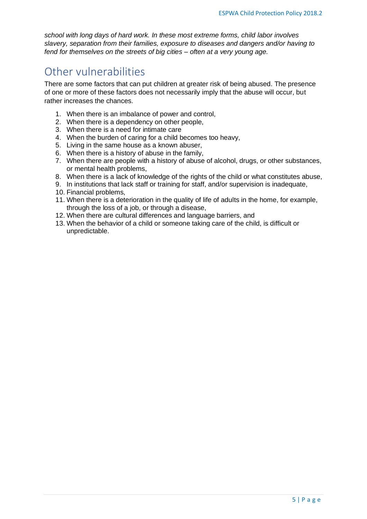*school with long days of hard work. In these most extreme forms, child labor involves slavery, separation from their families, exposure to diseases and dangers and/or having to fend for themselves on the streets of big cities – often at a very young age.*

### <span id="page-5-0"></span>Other vulnerabilities

There are some factors that can put children at greater risk of being abused. The presence of one or more of these factors does not necessarily imply that the abuse will occur, but rather increases the chances.

- 1. When there is an imbalance of power and control,
- 2. When there is a dependency on other people,
- 3. When there is a need for intimate care
- 4. When the burden of caring for a child becomes too heavy,
- 5. Living in the same house as a known abuser,
- 6. When there is a history of abuse in the family,
- 7. When there are people with a history of abuse of alcohol, drugs, or other substances, or mental health problems,
- 8. When there is a lack of knowledge of the rights of the child or what constitutes abuse,
- 9. In institutions that lack staff or training for staff, and/or supervision is inadequate,
- 10. Financial problems,
- 11. When there is a deterioration in the quality of life of adults in the home, for example, through the loss of a job, or through a disease,
- 12. When there are cultural differences and language barriers, and
- 13. When the behavior of a child or someone taking care of the child, is difficult or unpredictable.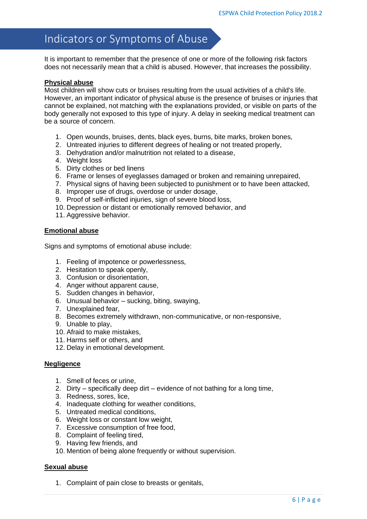### <span id="page-6-0"></span>Indicators or Symptoms of Abuse

It is important to remember that the presence of one or more of the following risk factors does not necessarily mean that a child is abused. However, that increases the possibility.

### **Physical abuse**

Most children will show cuts or bruises resulting from the usual activities of a child's life. However, an important indicator of physical abuse is the presence of bruises or injuries that cannot be explained, not matching with the explanations provided, or visible on parts of the body generally not exposed to this type of injury. A delay in seeking medical treatment can be a source of concern.

- 1. Open wounds, bruises, dents, black eyes, burns, bite marks, broken bones,
- 2. Untreated injuries to different degrees of healing or not treated properly,
- 3. Dehydration and/or malnutrition not related to a disease,
- 4. Weight loss
- 5. Dirty clothes or bed linens
- 6. Frame or lenses of eyeglasses damaged or broken and remaining unrepaired,
- 7. Physical signs of having been subjected to punishment or to have been attacked,
- 8. Improper use of drugs, overdose or under dosage,
- 9. Proof of self-inflicted injuries, sign of severe blood loss,
- 10. Depression or distant or emotionally removed behavior, and
- 11. Aggressive behavior.

### **Emotional abuse**

Signs and symptoms of emotional abuse include:

- 1. Feeling of impotence or powerlessness,
- 2. Hesitation to speak openly,
- 3. Confusion or disorientation,
- 4. Anger without apparent cause,
- 5. Sudden changes in behavior,
- 6. Unusual behavior sucking, biting, swaying,
- 7. Unexplained fear,
- 8. Becomes extremely withdrawn, non-communicative, or non-responsive,
- 9. Unable to play,
- 10. Afraid to make mistakes,
- 11. Harms self or others, and
- 12. Delay in emotional development.

### **Negligence**

- 1. Smell of feces or urine,
- 2. Dirty specifically deep dirt evidence of not bathing for a long time,
- 3. Redness, sores, lice,
- 4. Inadequate clothing for weather conditions,
- 5. Untreated medical conditions,
- 6. Weight loss or constant low weight,
- 7. Excessive consumption of free food,
- 8. Complaint of feeling tired,
- 9. Having few friends, and
- 10. Mention of being alone frequently or without supervision.

### **Sexual abuse**

1. Complaint of pain close to breasts or genitals,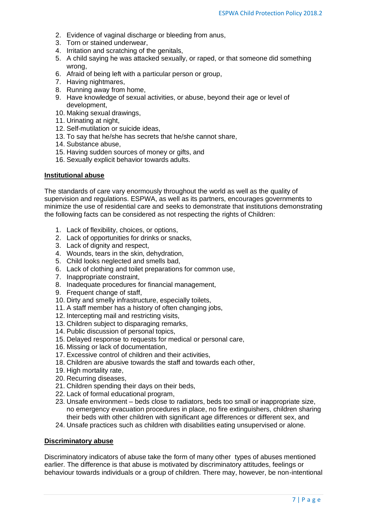- 2. Evidence of vaginal discharge or bleeding from anus,
- 3. Torn or stained underwear,
- 4. Irritation and scratching of the genitals,
- 5. A child saying he was attacked sexually, or raped, or that someone did something wrong,
- 6. Afraid of being left with a particular person or group,
- 7. Having nightmares,
- 8. Running away from home,
- 9. Have knowledge of sexual activities, or abuse, beyond their age or level of development,
- 10. Making sexual drawings,
- 11. Urinating at night,
- 12. Self-mutilation or suicide ideas,
- 13. To say that he/she has secrets that he/she cannot share,
- 14. Substance abuse,
- 15. Having sudden sources of money or gifts, and
- 16. Sexually explicit behavior towards adults.

#### **Institutional abuse**

The standards of care vary enormously throughout the world as well as the quality of supervision and regulations. ESPWA, as well as its partners, encourages governments to minimize the use of residential care and seeks to demonstrate that institutions demonstrating the following facts can be considered as not respecting the rights of Children:

- 1. Lack of flexibility, choices, or options,
- 2. Lack of opportunities for drinks or snacks,
- 3. Lack of dignity and respect,
- 4. Wounds, tears in the skin, dehydration,
- 5. Child looks neglected and smells bad,
- 6. Lack of clothing and toilet preparations for common use,
- 7. Inappropriate constraint,
- 8. Inadequate procedures for financial management,
- 9. Frequent change of staff,
- 10. Dirty and smelly infrastructure, especially toilets,
- 11. A staff member has a history of often changing jobs,
- 12. Intercepting mail and restricting visits,
- 13. Children subject to disparaging remarks,
- 14. Public discussion of personal topics,
- 15. Delayed response to requests for medical or personal care,
- 16. Missing or lack of documentation,
- 17. Excessive control of children and their activities,
- 18. Children are abusive towards the staff and towards each other,
- 19. High mortality rate,
- 20. Recurring diseases,
- 21. Children spending their days on their beds,
- 22. Lack of formal educational program,
- 23. Unsafe environment beds close to radiators, beds too small or inappropriate size, no emergency evacuation procedures in place, no fire extinguishers, children sharing their beds with other children with significant age differences or different sex, and
- 24. Unsafe practices such as children with disabilities eating unsupervised or alone.

#### **Discriminatory abuse**

Discriminatory indicators of abuse take the form of many other types of abuses mentioned earlier. The difference is that abuse is motivated by discriminatory attitudes, feelings or behaviour towards individuals or a group of children. There may, however, be non-intentional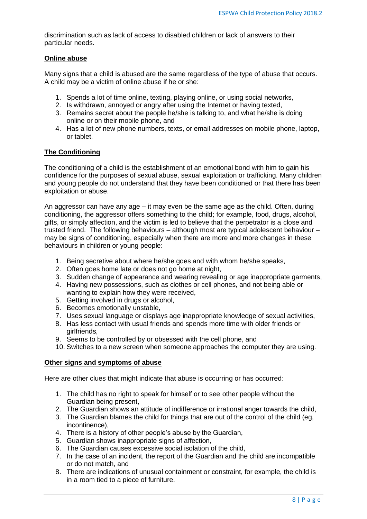discrimination such as lack of access to disabled children or lack of answers to their particular needs.

### **Online abuse**

Many signs that a child is abused are the same regardless of the type of abuse that occurs. A child may be a victim of online abuse if he or she:

- 1. Spends a lot of time online, texting, playing online, or using social networks,
- 2. Is withdrawn, annoyed or angry after using the Internet or having texted,
- 3. Remains secret about the people he/she is talking to, and what he/she is doing online or on their mobile phone, and
- 4. Has a lot of new phone numbers, texts, or email addresses on mobile phone, laptop, or tablet.

### **The Conditioning**

The conditioning of a child is the establishment of an emotional bond with him to gain his confidence for the purposes of sexual abuse, sexual exploitation or trafficking. Many children and young people do not understand that they have been conditioned or that there has been exploitation or abuse.

An aggressor can have any age – it may even be the same age as the child. Often, during conditioning, the aggressor offers something to the child; for example, food, drugs, alcohol, gifts, or simply affection, and the victim is led to believe that the perpetrator is a close and trusted friend. The following behaviours – although most are typical adolescent behaviour – may be signs of conditioning, especially when there are more and more changes in these behaviours in children or young people:

- 1. Being secretive about where he/she goes and with whom he/she speaks,
- 2. Often goes home late or does not go home at night,
- 3. Sudden change of appearance and wearing revealing or age inappropriate garments,
- 4. Having new possessions, such as clothes or cell phones, and not being able or wanting to explain how they were received,
- 5. Getting involved in drugs or alcohol,
- 6. Becomes emotionally unstable,
- 7. Uses sexual language or displays age inappropriate knowledge of sexual activities,
- 8. Has less contact with usual friends and spends more time with older friends or girlfriends,
- 9. Seems to be controlled by or obsessed with the cell phone, and
- 10. Switches to a new screen when someone approaches the computer they are using.

#### **Other signs and symptoms of abuse**

Here are other clues that might indicate that abuse is occurring or has occurred:

- 1. The child has no right to speak for himself or to see other people without the Guardian being present,
- 2. The Guardian shows an attitude of indifference or irrational anger towards the child,
- 3. The Guardian blames the child for things that are out of the control of the child (eg, incontinence),
- 4. There is a history of other people's abuse by the Guardian,
- 5. Guardian shows inappropriate signs of affection,
- 6. The Guardian causes excessive social isolation of the child,
- 7. In the case of an incident, the report of the Guardian and the child are incompatible or do not match, and
- 8. There are indications of unusual containment or constraint, for example, the child is in a room tied to a piece of furniture.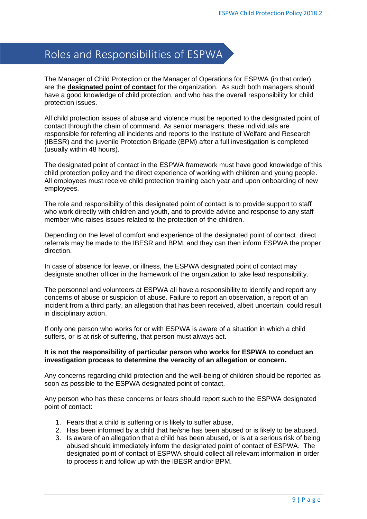# <span id="page-9-0"></span>Roles and Responsibilities of ESPWA

The Manager of Child Protection or the Manager of Operations for ESPWA (in that order) are the **designated point of contact** for the organization. As such both managers should have a good knowledge of child protection, and who has the overall responsibility for child protection issues.

All child protection issues of abuse and violence must be reported to the designated point of contact through the chain of command. As senior managers, these individuals are responsible for referring all incidents and reports to the Institute of Welfare and Research (IBESR) and the juvenile Protection Brigade (BPM) after a full investigation is completed (usually within 48 hours).

The designated point of contact in the ESPWA framework must have good knowledge of this child protection policy and the direct experience of working with children and young people. All employees must receive child protection training each year and upon onboarding of new employees.

The role and responsibility of this designated point of contact is to provide support to staff who work directly with children and youth, and to provide advice and response to any staff member who raises issues related to the protection of the children.

Depending on the level of comfort and experience of the designated point of contact, direct referrals may be made to the IBESR and BPM, and they can then inform ESPWA the proper direction.

In case of absence for leave, or illness, the ESPWA designated point of contact may designate another officer in the framework of the organization to take lead responsibility.

The personnel and volunteers at ESPWA all have a responsibility to identify and report any concerns of abuse or suspicion of abuse. Failure to report an observation, a report of an incident from a third party, an allegation that has been received, albeit uncertain, could result in disciplinary action.

If only one person who works for or with ESPWA is aware of a situation in which a child suffers, or is at risk of suffering, that person must always act.

### **It is not the responsibility of particular person who works for ESPWA to conduct an investigation process to determine the veracity of an allegation or concern.**

Any concerns regarding child protection and the well-being of children should be reported as soon as possible to the ESPWA designated point of contact.

Any person who has these concerns or fears should report such to the ESPWA designated point of contact:

- 1. Fears that a child is suffering or is likely to suffer abuse,
- 2. Has been informed by a child that he/she has been abused or is likely to be abused,
- 3. Is aware of an allegation that a child has been abused, or is at a serious risk of being abused should immediately inform the designated point of contact of ESPWA. The designated point of contact of ESPWA should collect all relevant information in order to process it and follow up with the IBESR and/or BPM.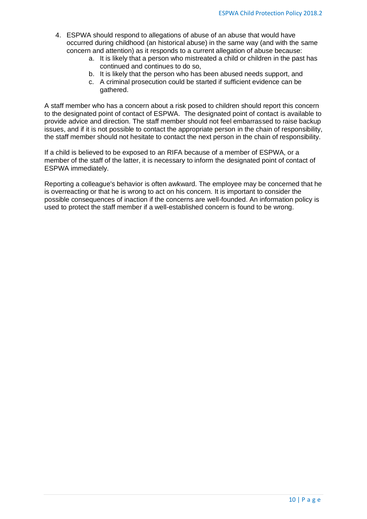- 4. ESPWA should respond to allegations of abuse of an abuse that would have occurred during childhood (an historical abuse) in the same way (and with the same concern and attention) as it responds to a current allegation of abuse because:
	- a. It is likely that a person who mistreated a child or children in the past has continued and continues to do so,
	- b. It is likely that the person who has been abused needs support, and
	- c. A criminal prosecution could be started if sufficient evidence can be gathered.

A staff member who has a concern about a risk posed to children should report this concern to the designated point of contact of ESPWA. The designated point of contact is available to provide advice and direction. The staff member should not feel embarrassed to raise backup issues, and if it is not possible to contact the appropriate person in the chain of responsibility, the staff member should not hesitate to contact the next person in the chain of responsibility.

If a child is believed to be exposed to an RIFA because of a member of ESPWA, or a member of the staff of the latter, it is necessary to inform the designated point of contact of ESPWA immediately.

Reporting a colleague's behavior is often awkward. The employee may be concerned that he is overreacting or that he is wrong to act on his concern. It is important to consider the possible consequences of inaction if the concerns are well-founded. An information policy is used to protect the staff member if a well-established concern is found to be wrong.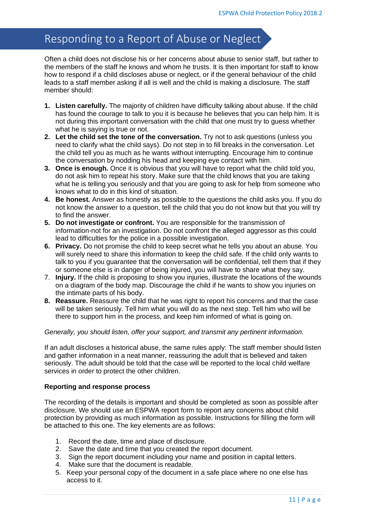# <span id="page-11-0"></span>Responding to a Report of Abuse or Neglect

Often a child does not disclose his or her concerns about abuse to senior staff, but rather to the members of the staff he knows and whom he trusts. It is then important for staff to know how to respond if a child discloses abuse or neglect, or if the general behaviour of the child leads to a staff member asking if all is well and the child is making a disclosure. The staff member should:

- **1. Listen carefully.** The majority of children have difficulty talking about abuse. If the child has found the courage to talk to you it is because he believes that you can help him. It is not during this important conversation with the child that one must try to guess whether what he is saying is true or not.
- **2. Let the child set the tone of the conversation.** Try not to ask questions (unless you need to clarify what the child says). Do not step in to fill breaks in the conversation. Let the child tell you as much as he wants without interrupting. Encourage him to continue the conversation by nodding his head and keeping eye contact with him.
- **3. Once is enough.** Once it is obvious that you will have to report what the child told you, do not ask him to repeat his story. Make sure that the child knows that you are taking what he is telling you seriously and that you are going to ask for help from someone who knows what to do in this kind of situation.
- **4. Be honest.** Answer as honestly as possible to the questions the child asks you. If you do not know the answer to a question, tell the child that you do not know but that you will try to find the answer.
- **5. Do not investigate or confront.** You are responsible for the transmission of information-not for an investigation. Do not confront the alleged aggressor as this could lead to difficulties for the police in a possible investigation.
- **6. Privacy.** Do not promise the child to keep secret what he tells you about an abuse. You will surely need to share this information to keep the child safe. If the child only wants to talk to you if you guarantee that the conversation will be confidential, tell them that if they or someone else is in danger of being injured, you will have to share what they say.
- 7. **Injury.** If the child is proposing to show you injuries, illustrate the locations of the wounds on a diagram of the body map. Discourage the child if he wants to show you injuries on the intimate parts of his body.
- **8. Reassure.** Reassure the child that he was right to report his concerns and that the case will be taken seriously. Tell him what you will do as the next step. Tell him who will be there to support him in the process, and keep him informed of what is going on.

### *Generally, you should listen, offer your support, and transmit any pertinent information.*

If an adult discloses a historical abuse, the same rules apply: The staff member should listen and gather information in a neat manner, reassuring the adult that is believed and taken seriously. The adult should be told that the case will be reported to the local child welfare services in order to protect the other children.

### **Reporting and response process**

The recording of the details is important and should be completed as soon as possible after disclosure. We should use an ESPWA report form to report any concerns about child protection by providing as much information as possible. Instructions for filling the form will be attached to this one. The key elements are as follows:

- 1. Record the date, time and place of disclosure.
- 2. Save the date and time that you created the report document.
- 3. Sign the report document including your name and position in capital letters.
- 4. Make sure that the document is readable.
- 5. Keep your personal copy of the document in a safe place where no one else has access to it.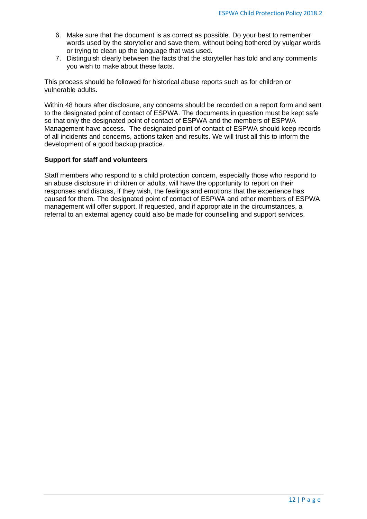- 6. Make sure that the document is as correct as possible. Do your best to remember words used by the storyteller and save them, without being bothered by vulgar words or trying to clean up the language that was used.
- 7. Distinguish clearly between the facts that the storyteller has told and any comments you wish to make about these facts.

This process should be followed for historical abuse reports such as for children or vulnerable adults.

Within 48 hours after disclosure, any concerns should be recorded on a report form and sent to the designated point of contact of ESPWA. The documents in question must be kept safe so that only the designated point of contact of ESPWA and the members of ESPWA Management have access. The designated point of contact of ESPWA should keep records of all incidents and concerns, actions taken and results. We will trust all this to inform the development of a good backup practice.

### **Support for staff and volunteers**

Staff members who respond to a child protection concern, especially those who respond to an abuse disclosure in children or adults, will have the opportunity to report on their responses and discuss, if they wish, the feelings and emotions that the experience has caused for them. The designated point of contact of ESPWA and other members of ESPWA management will offer support. If requested, and if appropriate in the circumstances, a referral to an external agency could also be made for counselling and support services.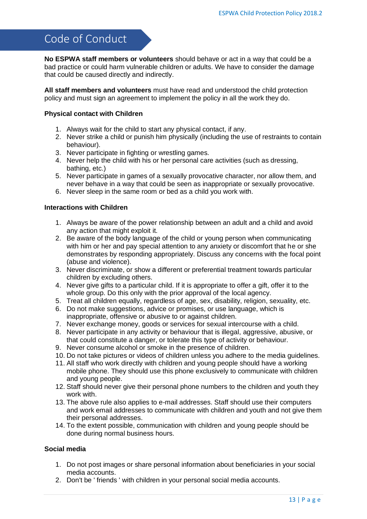### <span id="page-13-0"></span>Code of Conduct

**No ESPWA staff members or volunteers** should behave or act in a way that could be a bad practice or could harm vulnerable children or adults. We have to consider the damage that could be caused directly and indirectly.

**All staff members and volunteers** must have read and understood the child protection policy and must sign an agreement to implement the policy in all the work they do.

### **Physical contact with Children**

- 1. Always wait for the child to start any physical contact, if any.
- 2. Never strike a child or punish him physically (including the use of restraints to contain behaviour).
- 3. Never participate in fighting or wrestling games.
- 4. Never help the child with his or her personal care activities (such as dressing, bathing, etc.)
- 5. Never participate in games of a sexually provocative character, nor allow them, and never behave in a way that could be seen as inappropriate or sexually provocative.
- 6. Never sleep in the same room or bed as a child you work with.

### **Interactions with Children**

- 1. Always be aware of the power relationship between an adult and a child and avoid any action that might exploit it.
- 2. Be aware of the body language of the child or young person when communicating with him or her and pay special attention to any anxiety or discomfort that he or she demonstrates by responding appropriately. Discuss any concerns with the focal point (abuse and violence).
- 3. Never discriminate, or show a different or preferential treatment towards particular children by excluding others.
- 4. Never give gifts to a particular child. If it is appropriate to offer a gift, offer it to the whole group. Do this only with the prior approval of the local agency.
- 5. Treat all children equally, regardless of age, sex, disability, religion, sexuality, etc.
- 6. Do not make suggestions, advice or promises, or use language, which is inappropriate, offensive or abusive to or against children.
- 7. Never exchange money, goods or services for sexual intercourse with a child.
- 8. Never participate in any activity or behaviour that is illegal, aggressive, abusive, or that could constitute a danger, or tolerate this type of activity or behaviour.
- 9. Never consume alcohol or smoke in the presence of children.
- 10. Do not take pictures or videos of children unless you adhere to the media guidelines.
- 11. All staff who work directly with children and young people should have a working mobile phone. They should use this phone exclusively to communicate with children and young people.
- 12. Staff should never give their personal phone numbers to the children and youth they work with.
- 13. The above rule also applies to e-mail addresses. Staff should use their computers and work email addresses to communicate with children and youth and not give them their personal addresses.
- 14. To the extent possible, communication with children and young people should be done during normal business hours.

### **Social media**

- 1. Do not post images or share personal information about beneficiaries in your social media accounts.
- 2. Don't be ' friends ' with children in your personal social media accounts.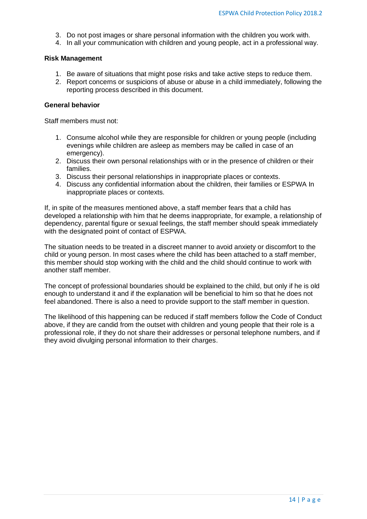- 3. Do not post images or share personal information with the children you work with.
- 4. In all your communication with children and young people, act in a professional way.

#### **Risk Management**

- 1. Be aware of situations that might pose risks and take active steps to reduce them.
- 2. Report concerns or suspicions of abuse or abuse in a child immediately, following the reporting process described in this document.

### **General behavior**

Staff members must not:

- 1. Consume alcohol while they are responsible for children or young people (including evenings while children are asleep as members may be called in case of an emergency).
- 2. Discuss their own personal relationships with or in the presence of children or their families.
- 3. Discuss their personal relationships in inappropriate places or contexts.
- 4. Discuss any confidential information about the children, their families or ESPWA In inappropriate places or contexts.

If, in spite of the measures mentioned above, a staff member fears that a child has developed a relationship with him that he deems inappropriate, for example, a relationship of dependency, parental figure or sexual feelings, the staff member should speak immediately with the designated point of contact of ESPWA.

The situation needs to be treated in a discreet manner to avoid anxiety or discomfort to the child or young person. In most cases where the child has been attached to a staff member, this member should stop working with the child and the child should continue to work with another staff member.

The concept of professional boundaries should be explained to the child, but only if he is old enough to understand it and if the explanation will be beneficial to him so that he does not feel abandoned. There is also a need to provide support to the staff member in question.

The likelihood of this happening can be reduced if staff members follow the Code of Conduct above, if they are candid from the outset with children and young people that their role is a professional role, if they do not share their addresses or personal telephone numbers, and if they avoid divulging personal information to their charges.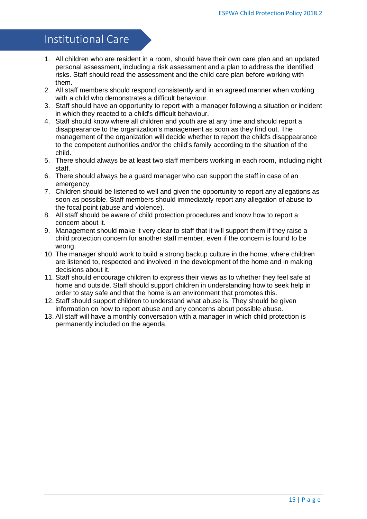### <span id="page-15-0"></span>Institutional Care

- 1. All children who are resident in a room, should have their own care plan and an updated personal assessment, including a risk assessment and a plan to address the identified risks. Staff should read the assessment and the child care plan before working with them.
- 2. All staff members should respond consistently and in an agreed manner when working with a child who demonstrates a difficult behaviour.
- 3. Staff should have an opportunity to report with a manager following a situation or incident in which they reacted to a child's difficult behaviour.
- 4. Staff should know where all children and youth are at any time and should report a disappearance to the organization's management as soon as they find out. The management of the organization will decide whether to report the child's disappearance to the competent authorities and/or the child's family according to the situation of the child.
- 5. There should always be at least two staff members working in each room, including night staff.
- 6. There should always be a guard manager who can support the staff in case of an emergency.
- 7. Children should be listened to well and given the opportunity to report any allegations as soon as possible. Staff members should immediately report any allegation of abuse to the focal point (abuse and violence).
- 8. All staff should be aware of child protection procedures and know how to report a concern about it.
- 9. Management should make it very clear to staff that it will support them if they raise a child protection concern for another staff member, even if the concern is found to be wrong.
- 10. The manager should work to build a strong backup culture in the home, where children are listened to, respected and involved in the development of the home and in making decisions about it.
- 11. Staff should encourage children to express their views as to whether they feel safe at home and outside. Staff should support children in understanding how to seek help in order to stay safe and that the home is an environment that promotes this.
- 12. Staff should support children to understand what abuse is. They should be given information on how to report abuse and any concerns about possible abuse.
- 13. All staff will have a monthly conversation with a manager in which child protection is permanently included on the agenda.